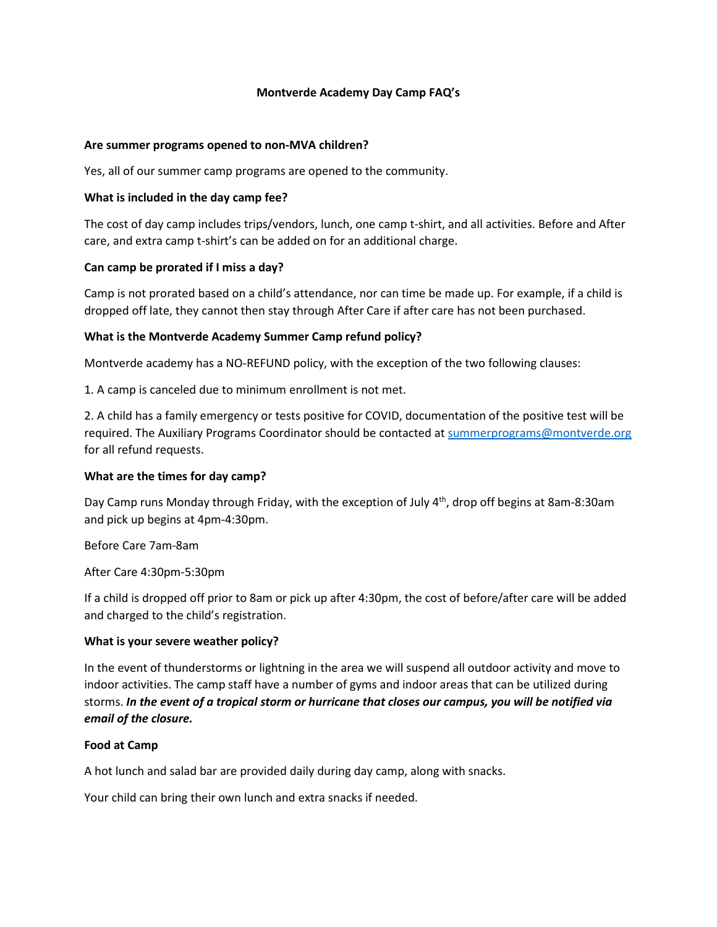## **Montverde Academy Day Camp FAQ's**

### **Are summer programs opened to non-MVA children?**

Yes, all of our summer camp programs are opened to the community.

#### **What is included in the day camp fee?**

The cost of day camp includes trips/vendors, lunch, one camp t-shirt, and all activities. Before and After care, and extra camp t-shirt's can be added on for an additional charge.

### **Can camp be prorated if I miss a day?**

Camp is not prorated based on a child's attendance, nor can time be made up. For example, if a child is dropped off late, they cannot then stay through After Care if after care has not been purchased.

### **What is the Montverde Academy Summer Camp refund policy?**

Montverde academy has a NO-REFUND policy, with the exception of the two following clauses:

1. A camp is canceled due to minimum enrollment is not met.

2. A child has a family emergency or tests positive for COVID, documentation of the positive test will be required. The Auxiliary Programs Coordinator should be contacted a[t summerprograms@montverde.org](mailto:summerprograms@montverde.org) for all refund requests.

## **What are the times for day camp?**

Day Camp runs Monday through Friday, with the exception of July 4<sup>th</sup>, drop off begins at 8am-8:30am and pick up begins at 4pm-4:30pm.

Before Care 7am-8am

After Care 4:30pm-5:30pm

If a child is dropped off prior to 8am or pick up after 4:30pm, the cost of before/after care will be added and charged to the child's registration.

#### **What is your severe weather policy?**

In the event of thunderstorms or lightning in the area we will suspend all outdoor activity and move to indoor activities. The camp staff have a number of gyms and indoor areas that can be utilized during storms. *In the event of a tropical storm or hurricane that closes our campus, you will be notified via email of the closure.*

## **Food at Camp**

A hot lunch and salad bar are provided daily during day camp, along with snacks.

Your child can bring their own lunch and extra snacks if needed.